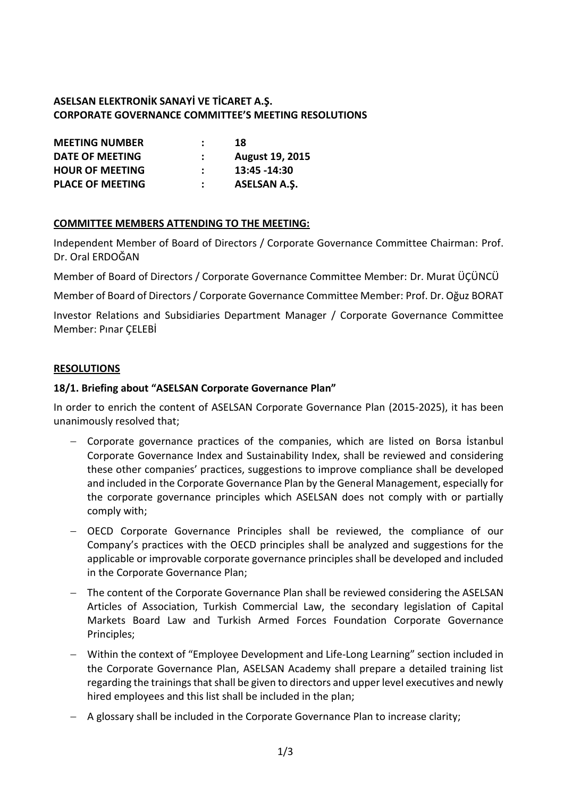## **ASELSAN ELEKTRONİK SANAYİ VE TİCARET A.Ş. CORPORATE GOVERNANCE COMMITTEE'S MEETING RESOLUTIONS**

| <b>MEETING NUMBER</b>   | 18                     |
|-------------------------|------------------------|
| DATE OF MEETING         | <b>August 19, 2015</b> |
| <b>HOUR OF MEETING</b>  | 13:45 - 14:30          |
| <b>PLACE OF MEETING</b> | <b>ASELSAN A.S.</b>    |

#### **COMMITTEE MEMBERS ATTENDING TO THE MEETING:**

Independent Member of Board of Directors / Corporate Governance Committee Chairman: Prof. Dr. Oral ERDOĞAN

Member of Board of Directors / Corporate Governance Committee Member: Dr. Murat ÜÇÜNCÜ

Member of Board of Directors / Corporate Governance Committee Member: Prof. Dr. Oğuz BORAT

Investor Relations and Subsidiaries Department Manager / Corporate Governance Committee Member: Pınar ÇELEBİ

#### **RESOLUTIONS**

#### **18/1. Briefing about "ASELSAN Corporate Governance Plan"**

In order to enrich the content of ASELSAN Corporate Governance Plan (2015-2025), it has been unanimously resolved that;

- Corporate governance practices of the companies, which are listed on Borsa İstanbul Corporate Governance Index and Sustainability Index, shall be reviewed and considering these other companies' practices, suggestions to improve compliance shall be developed and included in the Corporate Governance Plan by the General Management, especially for the corporate governance principles which ASELSAN does not comply with or partially comply with;
- OECD Corporate Governance Principles shall be reviewed, the compliance of our Company's practices with the OECD principles shall be analyzed and suggestions for the applicable or improvable corporate governance principles shall be developed and included in the Corporate Governance Plan;
- The content of the Corporate Governance Plan shall be reviewed considering the ASELSAN Articles of Association, Turkish Commercial Law, the secondary legislation of Capital Markets Board Law and Turkish Armed Forces Foundation Corporate Governance Principles;
- Within the context of "Employee Development and Life-Long Learning" section included in the Corporate Governance Plan, ASELSAN Academy shall prepare a detailed training list regarding the trainings that shall be given to directors and upper level executives and newly hired employees and this list shall be included in the plan;
- A glossary shall be included in the Corporate Governance Plan to increase clarity;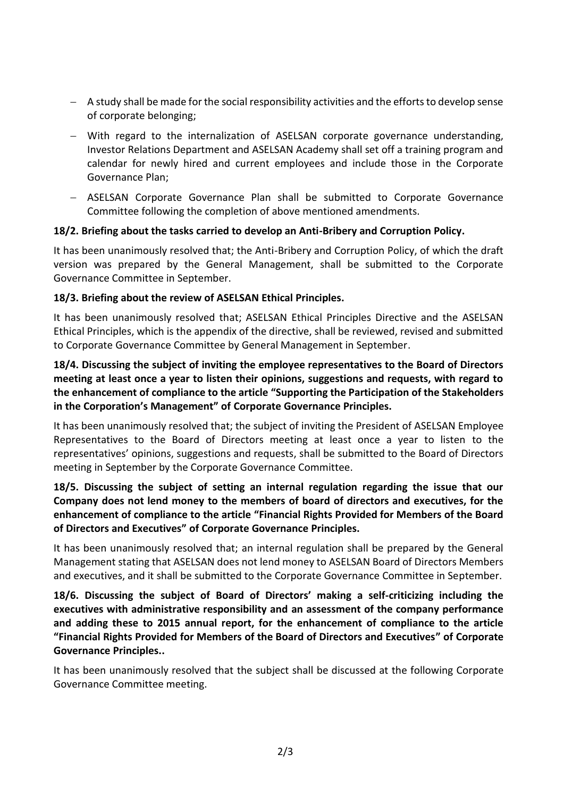- A study shall be made for the social responsibility activities and the efforts to develop sense of corporate belonging;
- With regard to the internalization of ASELSAN corporate governance understanding, Investor Relations Department and ASELSAN Academy shall set off a training program and calendar for newly hired and current employees and include those in the Corporate Governance Plan;
- ASELSAN Corporate Governance Plan shall be submitted to Corporate Governance Committee following the completion of above mentioned amendments.

## **18/2. Briefing about the tasks carried to develop an Anti-Bribery and Corruption Policy.**

It has been unanimously resolved that; the Anti-Bribery and Corruption Policy, of which the draft version was prepared by the General Management, shall be submitted to the Corporate Governance Committee in September.

## **18/3. Briefing about the review of ASELSAN Ethical Principles.**

It has been unanimously resolved that; ASELSAN Ethical Principles Directive and the ASELSAN Ethical Principles, which is the appendix of the directive, shall be reviewed, revised and submitted to Corporate Governance Committee by General Management in September.

**18/4. Discussing the subject of inviting the employee representatives to the Board of Directors meeting at least once a year to listen their opinions, suggestions and requests, with regard to the enhancement of compliance to the article "Supporting the Participation of the Stakeholders in the Corporation's Management" of Corporate Governance Principles.**

It has been unanimously resolved that; the subject of inviting the President of ASELSAN Employee Representatives to the Board of Directors meeting at least once a year to listen to the representatives' opinions, suggestions and requests, shall be submitted to the Board of Directors meeting in September by the Corporate Governance Committee.

# **18/5. Discussing the subject of setting an internal regulation regarding the issue that our Company does not lend money to the members of board of directors and executives, for the enhancement of compliance to the article "Financial Rights Provided for Members of the Board of Directors and Executives" of Corporate Governance Principles.**

It has been unanimously resolved that; an internal regulation shall be prepared by the General Management stating that ASELSAN does not lend money to ASELSAN Board of Directors Members and executives, and it shall be submitted to the Corporate Governance Committee in September.

**18/6. Discussing the subject of Board of Directors' making a self-criticizing including the executives with administrative responsibility and an assessment of the company performance and adding these to 2015 annual report, for the enhancement of compliance to the article "Financial Rights Provided for Members of the Board of Directors and Executives" of Corporate Governance Principles..**

It has been unanimously resolved that the subject shall be discussed at the following Corporate Governance Committee meeting.